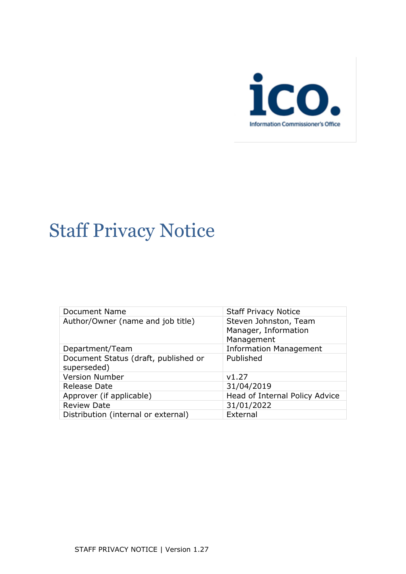

# Staff Privacy Notice

| <b>Staff Privacy Notice</b>                   |
|-----------------------------------------------|
| Steven Johnston, Team<br>Manager, Information |
| Management                                    |
| <b>Information Management</b>                 |
| Published                                     |
|                                               |
| v1.27                                         |
| 31/04/2019                                    |
| Head of Internal Policy Advice                |
| 31/01/2022                                    |
| External                                      |
|                                               |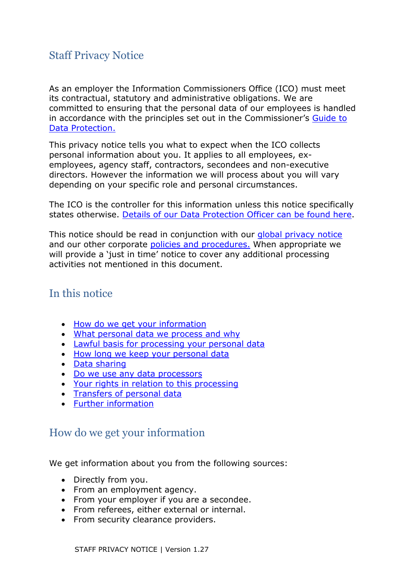# Staff Privacy Notice

As an employer the Information Commissioners Office (ICO) must meet its contractual, statutory and administrative obligations. We are committed to ensuring that the personal data of our employees is handled in accordance with the principles set out in the Commissioner's [Guide to](https://ico.org.uk/for-organisations/guide-to-data-protection/)  [Data Protection.](https://ico.org.uk/for-organisations/guide-to-data-protection/)

This privacy notice tells you what to expect when the ICO collects personal information about you. It applies to all employees, exemployees, agency staff, contractors, secondees and non-executive directors. However the information we will process about you will vary depending on your specific role and personal circumstances.

The ICO is the controller for this information unless this notice specifically states otherwise. [Details of our Data Protection Officer can be found here.](https://ico.org.uk/global/privacy-notice/data-protection-officers-contact-details/)

This notice should be read in conjunction with our [global privacy notice](https://ico.org.uk/global/privacy-notice/) and our other corporate [policies and procedures.](https://ico.org.uk/about-the-ico/our-information/policies-and-procedures/) When appropriate we will provide a 'just in time' notice to cover any additional processing activities not mentioned in this document.

# In this notice

- [How do we get your information](#page-1-0)
- [What personal data we process and why](#page-2-0)
- [Lawful basis for processing your personal data](#page-5-0)
- [How long we keep your personal data](#page-6-0)
- [Data sharing](#page-6-1)
- [Do we use any data processors](#page-6-2)
- [Your rights in relation to this processing](#page-6-3)
- [Transfers of personal data](#page-7-0)
- [Further information](#page-7-1)

# <span id="page-1-0"></span>How do we get your information

We get information about you from the following sources:

- Directly from you.
- From an employment agency.
- From your employer if you are a secondee.
- From referees, either external or internal.
- From security clearance providers.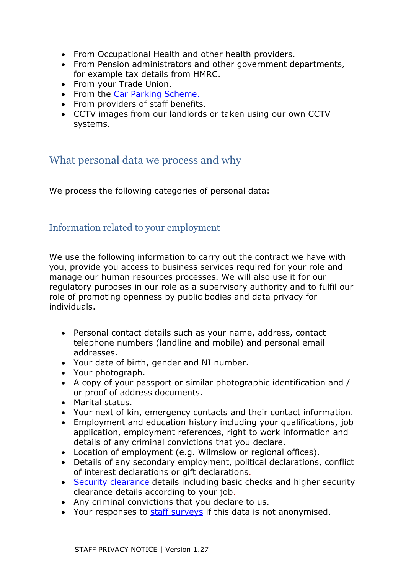- From Occupational Health and other health providers.
- From Pension administrators and other government departments, for example tax details from HMRC.
- From your Trade Union.
- From the [Car Parking Scheme.](#page-7-2)
- From providers of staff benefits.
- CCTV images from our landlords or taken using our own CCTV systems.

# <span id="page-2-0"></span>What personal data we process and why

We process the following categories of personal data:

## Information related to your employment

We use the following information to carry out the contract we have with you, provide you access to business services required for your role and manage our human resources processes. We will also use it for our regulatory purposes in our role as a supervisory authority and to fulfil our role of promoting openness by public bodies and data privacy for individuals.

- Personal contact details such as your name, address, contact telephone numbers (landline and mobile) and personal email addresses.
- Your date of birth, gender and NI number.
- Your photograph.
- A copy of your passport or similar photographic identification and / or proof of address documents.
- Marital status.
- Your next of kin, emergency contacts and their contact information.
- Employment and education history including your qualifications, job application, employment references, right to work information and details of any criminal convictions that you declare.
- Location of employment (e.g. Wilmslow or regional offices).
- Details of any secondary employment, political declarations, conflict of interest declarations or gift declarations.
- [Security clearance](#page-12-0) details including basic checks and higher security clearance details according to your job.
- Any criminal convictions that you declare to us.
- Your responses to [staff surveys](#page-7-3) if this data is not anonymised.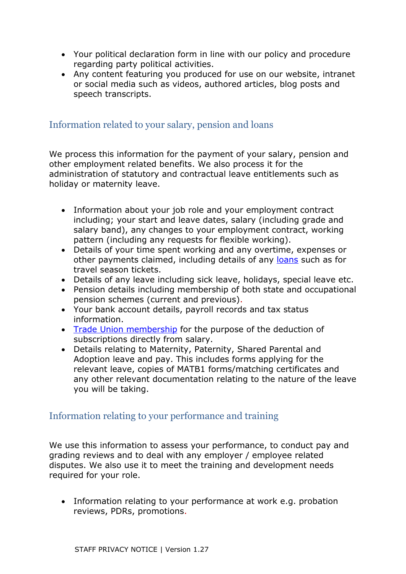- Your political declaration form in line with our policy and procedure regarding party political activities.
- Any content featuring you produced for use on our website, intranet or social media such as videos, authored articles, blog posts and speech transcripts.

## Information related to your salary, pension and loans

We process this information for the payment of your salary, pension and other employment related benefits. We also process it for the administration of statutory and contractual leave entitlements such as holiday or maternity leave.

- Information about your job role and your employment contract including; your start and leave dates, salary (including grade and salary band), any changes to your employment contract, working pattern (including any requests for flexible working).
- Details of your time spent working and any overtime, expenses or other payments claimed, including details of any [loans](#page-12-1) such as for travel season tickets.
- Details of any leave including sick leave, holidays, special leave etc.
- Pension details including membership of both state and occupational pension schemes (current and previous).
- Your bank account details, payroll records and tax status information.
- [Trade Union membership](#page-11-0) for the purpose of the deduction of subscriptions directly from salary.
- Details relating to Maternity, Paternity, Shared Parental and Adoption leave and pay. This includes forms applying for the relevant leave, copies of MATB1 forms/matching certificates and any other relevant documentation relating to the nature of the leave you will be taking.

## Information relating to your performance and training

We use this information to assess your performance, to conduct pay and grading reviews and to deal with any employer / employee related disputes. We also use it to meet the training and development needs required for your role.

• Information relating to your performance at work e.g. probation reviews, PDRs, promotions.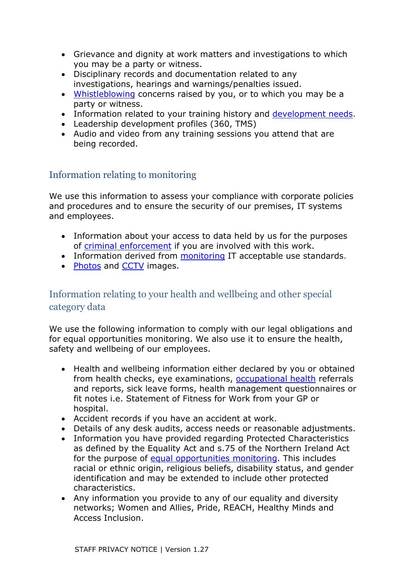- Grievance and dignity at work matters and investigations to which you may be a party or witness.
- Disciplinary records and documentation related to any investigations, hearings and warnings/penalties issued.
- [Whistleblowing](#page-8-0) concerns raised by you, or to which you may be a party or witness.
- Information related to your training history and [development needs.](#page-9-0)
- Leadership development profiles (360, TMS)
- Audio and video from any training sessions you attend that are being recorded.

# Information relating to monitoring

We use this information to assess your compliance with corporate policies and procedures and to ensure the security of our premises, IT systems and employees.

- Information about your access to data held by us for the purposes of [criminal enforcement](#page-11-1) if you are involved with this work.
- Information derived from [monitoring](#page-11-2) IT acceptable use standards.
- [Photos](#page-12-2) and [CCTV](#page-12-3) images.

# Information relating to your health and wellbeing and other special category data

We use the following information to comply with our legal obligations and for equal opportunities monitoring. We also use it to ensure the health, safety and wellbeing of our employees.

- Health and wellbeing information either declared by you or obtained from health checks, eye examinations, [occupational health](#page-10-0) referrals and reports, sick leave forms, health management questionnaires or fit notes i.e. Statement of Fitness for Work from your GP or hospital.
- Accident records if you have an accident at work.
- Details of any desk audits, access needs or reasonable adjustments.
- Information you have provided regarding Protected Characteristics as defined by the Equality Act and s.75 of the Northern Ireland Act for the purpose of [equal opportunities monitoring.](#page-8-1) This includes racial or ethnic origin, religious beliefs, disability status, and gender identification and may be extended to include other protected characteristics.
- Any information you provide to any of our equality and diversity networks; Women and Allies, Pride, REACH, Healthy Minds and Access Inclusion.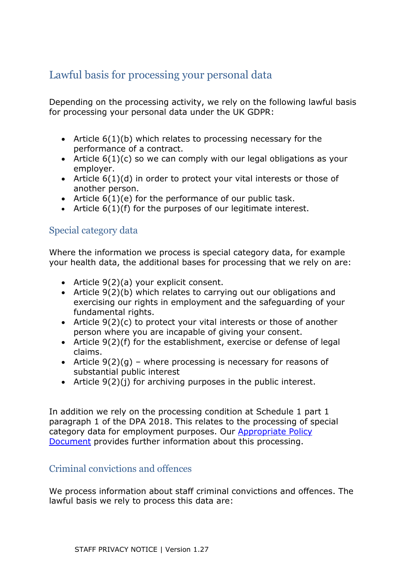# <span id="page-5-0"></span>Lawful basis for processing your personal data

Depending on the processing activity, we rely on the following lawful basis for processing your personal data under the UK GDPR:

- Article 6(1)(b) which relates to processing necessary for the performance of a contract.
- Article 6(1)(c) so we can comply with our legal obligations as your employer.
- Article 6(1)(d) in order to protect your vital interests or those of another person.
- Article 6(1)(e) for the performance of our public task.
- Article 6(1)(f) for the purposes of our legitimate interest.

#### Special category data

Where the information we process is special category data, for example your health data, the additional bases for processing that we rely on are:

- Article 9(2)(a) your explicit consent.
- Article 9(2)(b) which relates to carrying out our obligations and exercising our rights in employment and the safeguarding of your fundamental rights.
- Article 9(2)(c) to protect your vital interests or those of another person where you are incapable of giving your consent.
- Article 9(2)(f) for the establishment, exercise or defense of legal claims.
- Article  $9(2)(q)$  where processing is necessary for reasons of substantial public interest
- Article 9(2)(j) for archiving purposes in the public interest.

In addition we rely on the processing condition at Schedule 1 part 1 paragraph 1 of the DPA 2018. This relates to the processing of special category data for employment purposes. Our [Appropriate Policy](https://ico.org.uk/about-the-ico/our-information/safeguards-policy/safeguards-policy-special-categories-of-personal-data-and-criminal-convictions/)  [Document](https://ico.org.uk/about-the-ico/our-information/safeguards-policy/safeguards-policy-special-categories-of-personal-data-and-criminal-convictions/) provides further information about this processing.

#### Criminal convictions and offences

We process information about staff criminal convictions and offences. The lawful basis we rely to process this data are: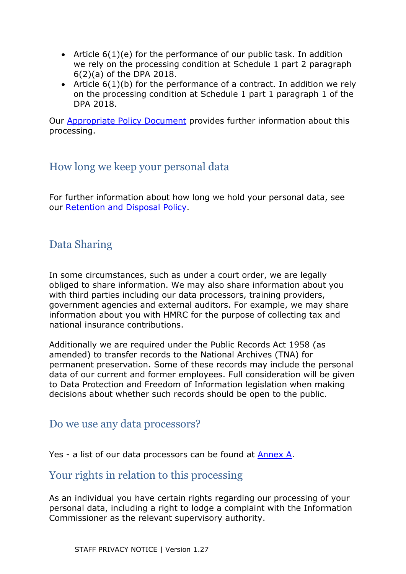- Article  $6(1)(e)$  for the performance of our public task. In addition we rely on the processing condition at Schedule 1 part 2 paragraph 6(2)(a) of the DPA 2018.
- Article 6(1)(b) for the performance of a contract. In addition we rely on the processing condition at Schedule 1 part 1 paragraph 1 of the DPA 2018.

Our [Appropriate Policy Document](https://ico.org.uk/about-the-ico/our-information/safeguards-policy/safeguards-policy-special-categories-of-personal-data-and-criminal-convictions/) provides further information about this processing.

# <span id="page-6-0"></span>How long we keep your personal data

For further information about how long we hold your personal data, see our [Retention and Disposal Policy.](https://ico.org.uk/media/about-the-ico/policies-and-procedures/4018504/retention-and-disposal-policy.pdf)

# <span id="page-6-1"></span>Data Sharing

In some circumstances, such as under a court order, we are legally obliged to share information. We may also share information about you with third parties including our data processors, training providers, government agencies and external auditors. For example, we may share information about you with HMRC for the purpose of collecting tax and national insurance contributions.

Additionally we are required under the Public Records Act 1958 (as amended) to transfer records to the National Archives (TNA) for permanent preservation. Some of these records may include the personal data of our current and former employees. Full consideration will be given to Data Protection and Freedom of Information legislation when making decisions about whether such records should be open to the public.

# <span id="page-6-2"></span>Do we use any data processors?

Yes - a list of our data processors can be found at [Annex A.](#page-14-0)

# <span id="page-6-3"></span>Your rights in relation to this processing

As an individual you have certain rights regarding our processing of your personal data, including a right to lodge a complaint with the Information Commissioner as the relevant supervisory authority.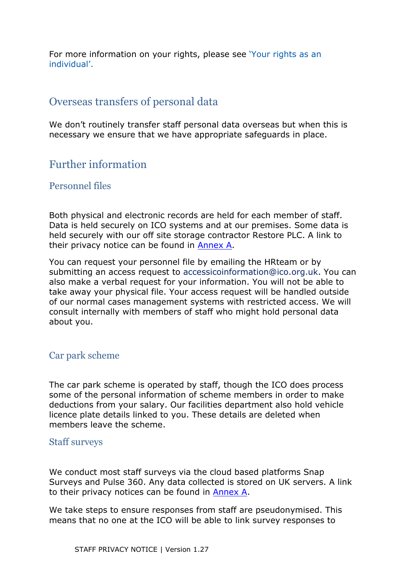For more information on your rights, please see ['Your rights as an](https://ico.org.uk/global/privacy-notice/your-data-protection-rights/)  [individual'.](https://ico.org.uk/global/privacy-notice/your-data-protection-rights/)

# <span id="page-7-0"></span>Overseas transfers of personal data

We don't routinely transfer staff personal data overseas but when this is necessary we ensure that we have appropriate safeguards in place.

# <span id="page-7-1"></span>Further information

#### Personnel files

Both physical and electronic records are held for each member of staff. Data is held securely on ICO systems and at our premises. Some data is held securely with our off site storage contractor Restore PLC. A link to their privacy notice can be found in [Annex A.](#page-14-0)

You can request your personnel file by emailing the [HRteam](mailto:hrteam@ico.org.uk) or by submitting an access request to [accessicoinformation@ico.org.uk.](mailto:accessicoinformation@ico.org.uk) You can also make a verbal request for your information. You will not be able to take away your physical file. Your access request will be handled outside of our normal cases management systems with restricted access. We will consult internally with members of staff who might hold personal data about you.

## <span id="page-7-2"></span>Car park scheme

The car park scheme is operated by staff, though the ICO does process some of the personal information of scheme members in order to make deductions from your salary. Our facilities department also hold vehicle licence plate details linked to you. These details are deleted when members leave the scheme.

#### <span id="page-7-3"></span>Staff surveys

We conduct most staff surveys via the cloud based platforms Snap Surveys and Pulse 360. Any data collected is stored on UK servers. A link to their privacy notices can be found in [Annex A.](#page-14-0)

We take steps to ensure responses from staff are pseudonymised. This means that no one at the ICO will be able to link survey responses to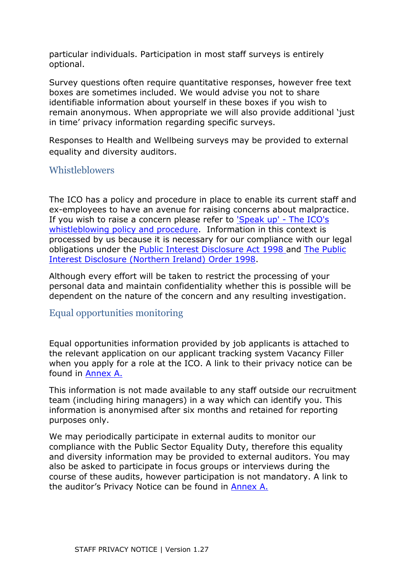particular individuals. Participation in most staff surveys is entirely optional.

Survey questions often require quantitative responses, however free text boxes are sometimes included. We would advise you not to share identifiable information about yourself in these boxes if you wish to remain anonymous. When appropriate we will also provide additional 'just in time' privacy information regarding specific surveys.

Responses to Health and Wellbeing surveys may be provided to external equality and diversity auditors.

#### <span id="page-8-0"></span>**Whistleblowers**

The ICO has a policy and procedure in place to enable its current staff and ex-employees to have an avenue for raising concerns about malpractice. If you wish to raise a concern please refer to ['Speak up' -](http://intranet.child.indigo.local/corporate-functions/organisational-development/Documents/Whistleblowing%20Policy%20v1.doc) The ICO's [whistleblowing policy and procedure.](http://intranet.child.indigo.local/corporate-functions/organisational-development/Documents/Whistleblowing%20Policy%20v1.doc) Information in this context is processed by us because it is necessary for our compliance with our legal obligations under the [Public Interest Disclosure Act 1998 a](http://www.legislation.gov.uk/ukpga/1998/23/contents)nd [The Public](http://www.legislation.gov.uk/nisi/1998/1763/contents)  [Interest Disclosure \(Northern Ireland\) Order 1998.](http://www.legislation.gov.uk/nisi/1998/1763/contents)

Although every effort will be taken to restrict the processing of your personal data and maintain confidentiality whether this is possible will be dependent on the nature of the concern and any resulting investigation.

#### <span id="page-8-1"></span>Equal opportunities monitoring

Equal opportunities information provided by job applicants is attached to the relevant application on our applicant tracking system Vacancy Filler when you apply for a role at the ICO. A link to their privacy notice can be found in [Annex A.](#page-14-0)

This information is not made available to any staff outside our recruitment team (including hiring managers) in a way which can identify you. This information is anonymised after six months and retained for reporting purposes only.

We may periodically participate in external audits to monitor our compliance with the Public Sector Equality Duty, therefore this equality and diversity information may be provided to external auditors. You may also be asked to participate in focus groups or interviews during the course of these audits, however participation is not mandatory. A link to the auditor's Privacy Notice can be found in [Annex A.](#page-14-0)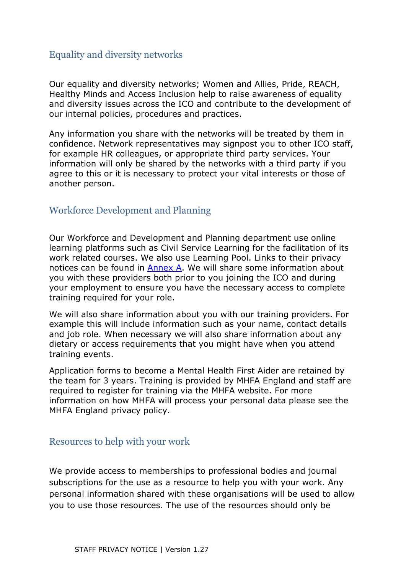## Equality and diversity networks

Our equality and diversity networks; Women and Allies, Pride, REACH, Healthy Minds and Access Inclusion help to raise awareness of equality and diversity issues across the ICO and contribute to the development of our internal policies, procedures and practices.

Any information you share with the networks will be treated by them in confidence. Network representatives may signpost you to other ICO staff, for example HR colleagues, or appropriate third party services. Your information will only be shared by the networks with a third party if you agree to this or it is necessary to protect your vital interests or those of another person.

## <span id="page-9-0"></span>Workforce Development and Planning

Our Workforce and Development and Planning department use online learning platforms such as Civil Service Learning for the facilitation of its work related courses. We also use Learning Pool. Links to their privacy notices can be found in [Annex A.](#page-14-0) We will share some information about you with these providers both prior to you joining the ICO and during your employment to ensure you have the necessary access to complete training required for your role.

We will also share information about you with our training providers. For example this will include information such as your name, contact details and job role. When necessary we will also share information about any dietary or access requirements that you might have when you attend training events.

Application forms to become a Mental Health First Aider are retained by the team for 3 years. Training is provided by MHFA England and staff are required to register for training via the MHFA website. For more information on how MHFA will process your personal data please see the MHFA England privacy policy.

#### Resources to help with your work

We provide access to memberships to professional bodies and journal subscriptions for the use as a resource to help you with your work. Any personal information shared with these organisations will be used to allow you to use those resources. The use of the resources should only be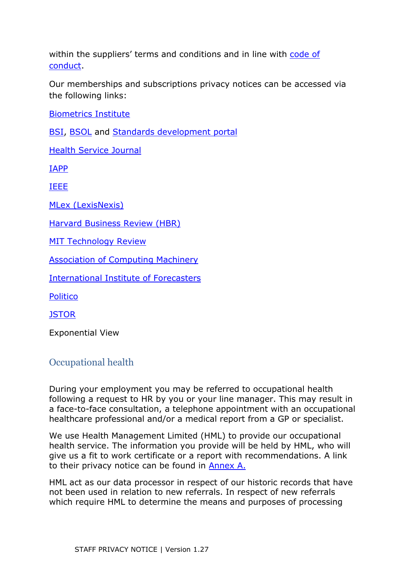within the suppliers' terms and conditions and in line with code of [conduct.](https://edrm/sites/corp/cgov/_layouts/15/DocIdRedir.aspx?ID=CORP-91339235-77)

Our memberships and subscriptions privacy notices can be accessed via the following links:

[Biometrics Institute](https://www.biometricsinstitute.org/privacy-policy/)

[BSI, BSOL](https://www.bsigroup.com/en-GB/about-bsi/legal/privacy-notice/) and [Standards development portal](https://standardsdevelopment.bsigroup.com/home/PrivacyNotice)

[Health Service Journal](https://wilmingtonhealthcare.com/privacy-policy/)

[IAPP](https://iapp.org/about/privacy-notice/)

[IEEE](https://www.ieee.org/security-privacy.html)

[MLex \(LexisNexis\)](https://www.lexisnexis.com/global/privacy/en/privacy-policy-uk.page)

[Harvard Business Review \(HBR\)](https://hbr.org/privacy-policy)

[MIT Technology Review](https://www.technologyreview.com/privacy/)

[Association of Computing Machinery](https://www.acm.org/privacy-policy)

[International Institute of Forecasters](https://forecasters.org/wp-content/uploads/IIF-PrivacyPolicy.pdf)

**[Politico](https://www.politico.com/privacy-policy)** 

**[JSTOR](https://www.ithaka.org/privacypolicy/)** 

Exponential View

#### <span id="page-10-0"></span>Occupational health

During your employment you may be referred to occupational health following a request to HR by you or your line manager. This may result in a face-to-face consultation, a telephone appointment with an occupational healthcare professional and/or a medical report from a GP or specialist.

We use Health Management Limited (HML) to provide our occupational health service. The information you provide will be held by HML, who will give us a fit to work certificate or a report with recommendations. A link to their privacy notice can be found in [Annex A.](#page-14-0)

HML act as our data processor in respect of our historic records that have not been used in relation to new referrals. In respect of new referrals which require HML to determine the means and purposes of processing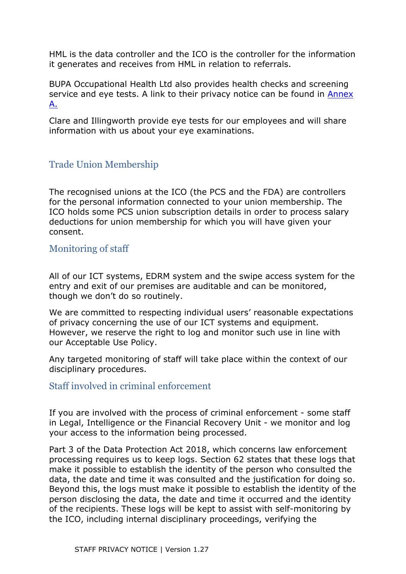HML is the data controller and the ICO is the controller for the information it generates and receives from HML in relation to referrals.

BUPA Occupational Health Ltd also provides health checks and screening service and eye tests. A link to their privacy notice can be found in Annex [A.](#page-14-0)

Clare and Illingworth provide eye tests for our employees and will share information with us about your eye examinations.

## <span id="page-11-0"></span>Trade Union Membership

The recognised unions at the ICO (the PCS and the FDA) are controllers for the personal information connected to your union membership. The ICO holds some PCS union subscription details in order to process salary deductions for union membership for which you will have given your consent.

#### <span id="page-11-2"></span>Monitoring of staff

All of our ICT systems, EDRM system and the swipe access system for the entry and exit of our premises are auditable and can be monitored, though we don't do so routinely.

We are committed to respecting individual users' reasonable expectations of privacy concerning the use of our ICT systems and equipment. However, we reserve the right to log and monitor such use in line with our Acceptable Use Policy.

Any targeted monitoring of staff will take place within the context of our disciplinary procedures.

#### <span id="page-11-1"></span>Staff involved in criminal enforcement

If you are involved with the process of criminal enforcement - some staff in Legal, Intelligence or the Financial Recovery Unit - we monitor and log your access to the information being processed.

Part 3 of the Data Protection Act 2018, which concerns law enforcement processing requires us to keep logs. Section 62 states that these logs that make it possible to establish the identity of the person who consulted the data, the date and time it was consulted and the justification for doing so. Beyond this, the logs must make it possible to establish the identity of the person disclosing the data, the date and time it occurred and the identity of the recipients. These logs will be kept to assist with self-monitoring by the ICO, including internal disciplinary proceedings, verifying the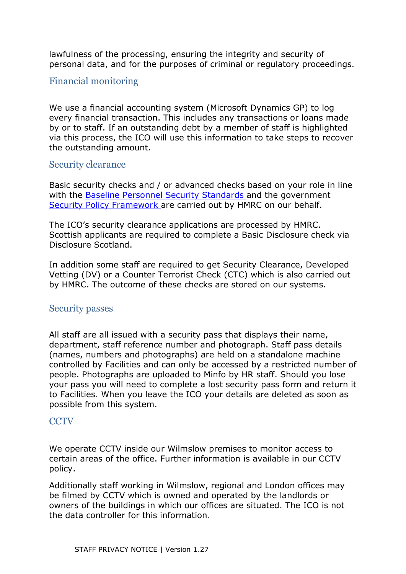lawfulness of the processing, ensuring the integrity and security of personal data, and for the purposes of criminal or regulatory proceedings.

#### <span id="page-12-1"></span>Financial monitoring

We use a financial accounting system (Microsoft Dynamics GP) to log every financial transaction. This includes any transactions or loans made by or to staff. If an outstanding debt by a member of staff is highlighted via this process, the ICO will use this information to take steps to recover the outstanding amount.

#### <span id="page-12-0"></span>Security clearance

Basic security checks and / or advanced checks based on your role in line with the [Baseline Personnel Security Standards a](https://www.gov.uk/government/publications/government-baseline-personnel-security-standard)nd the government [Security Policy Framework](https://www.gov.uk/government/publications/security-policy-framework) are carried out by HMRC on our behalf.

The ICO's security clearance applications are processed by HMRC. Scottish applicants are required to complete a Basic Disclosure check via Disclosure Scotland.

In addition some staff are required to get Security Clearance, Developed Vetting (DV) or a Counter Terrorist Check (CTC) which is also carried out by HMRC. The outcome of these checks are stored on our systems.

#### <span id="page-12-2"></span>Security passes

All staff are all issued with a security pass that displays their name, department, staff reference number and photograph. Staff pass details (names, numbers and photographs) are held on a standalone machine controlled by Facilities and can only be accessed by a restricted number of people. Photographs are uploaded to Minfo by HR staff. Should you lose your pass you will need to complete a lost security pass form and return it to Facilities. When you leave the ICO your details are deleted as soon as possible from this system.

#### <span id="page-12-3"></span>**CCTV**

We operate CCTV inside our Wilmslow premises to monitor access to certain areas of the office. Further information is available in our CCTV policy.

Additionally staff working in Wilmslow, regional and London offices may be filmed by CCTV which is owned and operated by the landlords or owners of the buildings in which our offices are situated. The ICO is not the data controller for this information.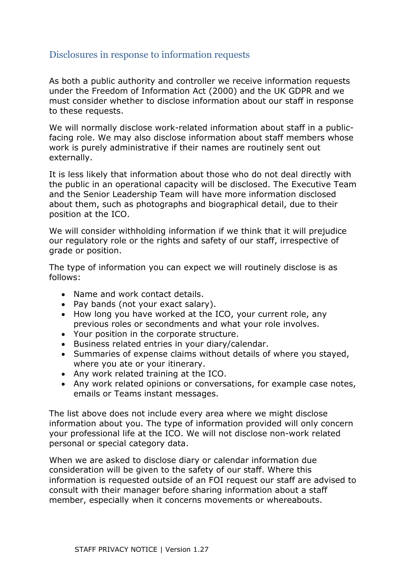#### Disclosures in response to information requests

As both a public authority and controller we receive information requests under the Freedom of Information Act (2000) and the UK GDPR and we must consider whether to disclose information about our staff in response to these requests.

We will normally disclose work-related information about staff in a publicfacing role. We may also disclose information about staff members whose work is purely administrative if their names are routinely sent out externally.

It is less likely that information about those who do not deal directly with the public in an operational capacity will be disclosed. The Executive Team and the Senior Leadership Team will have more information disclosed about them, such as photographs and biographical detail, due to their position at the ICO.

We will consider withholding information if we think that it will prejudice our regulatory role or the rights and safety of our staff, irrespective of grade or position.

The type of information you can expect we will routinely disclose is as follows:

- Name and work contact details.
- Pay bands (not your exact salary).
- How long you have worked at the ICO, your current role, any previous roles or secondments and what your role involves.
- Your position in the corporate structure.
- Business related entries in your diary/calendar.
- Summaries of expense claims without details of where you stayed, where you ate or your itinerary.
- Any work related training at the ICO.
- Any work related opinions or conversations, for example case notes, emails or Teams instant messages.

The list above does not include every area where we might disclose information about you. The type of information provided will only concern your professional life at the ICO. We will not disclose non-work related personal or special category data.

When we are asked to disclose diary or calendar information due consideration will be given to the safety of our staff. Where this information is requested outside of an FOI request our staff are advised to consult with their manager before sharing information about a staff member, especially when it concerns movements or whereabouts.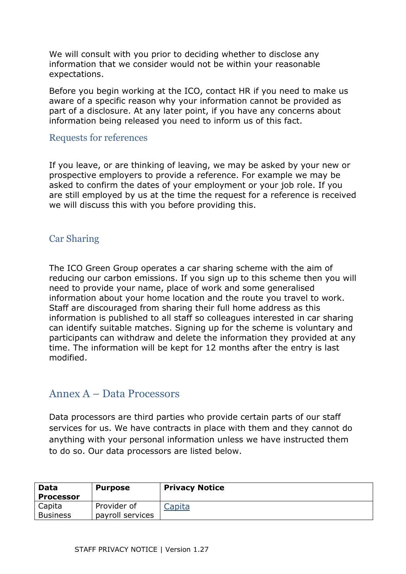We will consult with you prior to deciding whether to disclose any information that we consider would not be within your reasonable expectations.

Before you begin working at the ICO, contact HR if you need to make us aware of a specific reason why your information cannot be provided as part of a disclosure. At any later point, if you have any concerns about information being released you need to inform us of this fact.

#### Requests for references

If you leave, or are thinking of leaving, we may be asked by your new or prospective employers to provide a reference. For example we may be asked to confirm the dates of your employment or your job role. If you are still employed by us at the time the request for a reference is received we will discuss this with you before providing this.

#### Car Sharing

The ICO Green Group operates a car sharing scheme with the aim of reducing our carbon emissions. If you sign up to this scheme then you will need to provide your name, place of work and some generalised information about your home location and the route you travel to work. Staff are discouraged from sharing their full home address as this information is published to all staff so colleagues interested in car sharing can identify suitable matches. Signing up for the scheme is voluntary and participants can withdraw and delete the information they provided at any time. The information will be kept for 12 months after the entry is last modified.

## <span id="page-14-0"></span>Annex A – Data Processors

Data processors are third parties who provide certain parts of our staff services for us. We have contracts in place with them and they cannot do anything with your personal information unless we have instructed them to do so. Our data processors are listed below.

| Data<br><b>Processor</b>  | <b>Purpose</b>                  | <b>Privacy Notice</b> |
|---------------------------|---------------------------------|-----------------------|
| Capita<br><b>Business</b> | Provider of<br>payroll services | Capita                |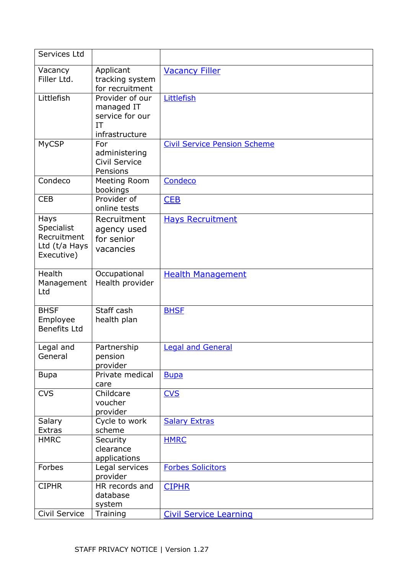| Services Ltd                                                     |                                                                          |                                     |
|------------------------------------------------------------------|--------------------------------------------------------------------------|-------------------------------------|
| Vacancy<br>Filler Ltd.                                           | Applicant<br>tracking system<br>for recruitment                          | <b>Vacancy Filler</b>               |
| Littlefish                                                       | Provider of our<br>managed IT<br>service for our<br>IT<br>infrastructure | Littlefish                          |
| <b>MyCSP</b>                                                     | For<br>administering<br>Civil Service<br>Pensions                        | <b>Civil Service Pension Scheme</b> |
| Condeco                                                          | Meeting Room<br>bookings                                                 | Condeco                             |
| <b>CEB</b>                                                       | Provider of<br>online tests                                              | CEB                                 |
| Hays<br>Specialist<br>Recruitment<br>Ltd (t/a Hays<br>Executive) | Recruitment<br>agency used<br>for senior<br>vacancies                    | <b>Hays Recruitment</b>             |
| <b>Health</b><br>Management<br>Ltd                               | Occupational<br>Health provider                                          | <b>Health Management</b>            |
| <b>BHSF</b><br>Employee<br><b>Benefits Ltd</b>                   | Staff cash<br>health plan                                                | <b>BHSF</b>                         |
| Legal and<br>General                                             | Partnership<br>pension<br>provider                                       | <b>Legal and General</b>            |
| <b>Bupa</b>                                                      | Private medical<br>care                                                  | <b>Bupa</b>                         |
| <b>CVS</b>                                                       | Childcare<br>voucher<br>provider                                         | <b>CVS</b>                          |
| Salary<br><b>Extras</b>                                          | Cycle to work<br>scheme                                                  | <b>Salary Extras</b>                |
| <b>HMRC</b>                                                      | Security<br>clearance<br>applications                                    | <b>HMRC</b>                         |
| Forbes                                                           | Legal services<br>provider                                               | <b>Forbes Solicitors</b>            |
| <b>CIPHR</b>                                                     | HR records and<br>database<br>system                                     | <b>CIPHR</b>                        |
| Civil Service                                                    | Training                                                                 | <b>Civil Service Learning</b>       |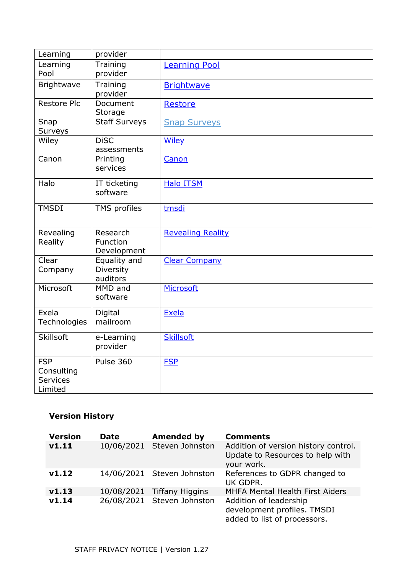| Learning                                               | provider                              |                          |
|--------------------------------------------------------|---------------------------------------|--------------------------|
| Learning<br>Pool                                       | Training<br>provider                  | <b>Learning Pool</b>     |
| Brightwave                                             | Training<br>provider                  | <b>Brightwave</b>        |
| <b>Restore Plc</b>                                     | Document<br>Storage                   | <b>Restore</b>           |
| Snap<br>Surveys                                        | <b>Staff Surveys</b>                  | <b>Snap Surveys</b>      |
| Wiley                                                  | <b>DiSC</b><br>assessments            | <b>Wiley</b>             |
| Canon                                                  | Printing<br>services                  | Canon                    |
| Halo                                                   | IT ticketing<br>software              | <b>Halo ITSM</b>         |
| <b>TMSDI</b>                                           | TMS profiles                          | tmsdi                    |
| Revealing<br>Reality                                   | Research<br>Function<br>Development   | <b>Revealing Reality</b> |
| Clear<br>Company                                       | Equality and<br>Diversity<br>auditors | <b>Clear Company</b>     |
| Microsoft                                              | MMD and<br>software                   | Microsoft                |
| Exela<br>Technologies                                  | Digital<br>mailroom                   | <b>Exela</b>             |
| <b>Skillsoft</b>                                       | e-Learning<br>provider                | <b>Skillsoft</b>         |
| <b>FSP</b><br>Consulting<br><b>Services</b><br>Limited | Pulse 360                             | <b>FSP</b>               |

## **Version History**

| <b>Version</b> | <b>Date</b> | <b>Amended by</b>          | <b>Comments</b>                                                                        |
|----------------|-------------|----------------------------|----------------------------------------------------------------------------------------|
| V1.11          |             | 10/06/2021 Steven Johnston | Addition of version history control.<br>Update to Resources to help with<br>your work. |
| V1.12          |             | 14/06/2021 Steven Johnston | References to GDPR changed to<br>UK GDPR.                                              |
| v1.13          |             | 10/08/2021 Tiffany Higgins | <b>MHFA Mental Health First Aiders</b>                                                 |
| v1.14          |             | 26/08/2021 Steven Johnston | Addition of leadership<br>development profiles. TMSDI<br>added to list of processors.  |